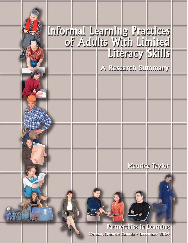# Informal Learning Practices<br>Learning Practices Literacy Skills

A Research Summary

Maurice Taylor

Partnerships in Learning Ottawa, Ontario Canada - December 2004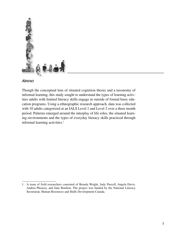

### *Abstract*

Though the conceptual lens of situated cognition theory and a taxonomy of informal learning, this study sought to understand the types of learning activities adults with limited literacy skills engage in outside of formal basic education programs. Using a ethnographic research approach, data was collected with 10 adults categorized at an IALS Level 1 and Level 2 over a three month period. Patterns emerged around the interplay of life roles, the situated learning environments and the types of everyday literacy skills practiced through informal learning activities.<sup>1</sup>

<sup>1.</sup> A team of field researchers consisted of Brenda Wright, Judy Purcell, Angela Davis, Andrea Pheasey, and Jane Boulton. The project was funded by the National Literacy Secretariat, Human Resources and Skills Development Canada.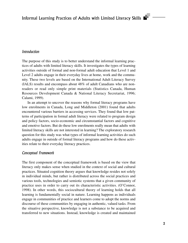### *Introduction*

The purpose of this study is to better understand the informal learning practices of adults with limited literacy skills. It investigates the types of learning activities outside of formal and non-formal adult education that Level 1 and Level 2 adults engage in their everyday lives at home, work and the community. These two levels are based on the International Adult Literacy Survey (IALS) results and encompass about 48% of adult Canadians who are nonreaders or read only simple print materials (Statistics Canada, Human Resources Development Canada & National Literacy Secretariat, 1996; Calami, 1999).

In an attempt to uncover the reasons why formal literacy programs have low enrolments in Canada, Long and Middleton (2001) found that adults encountered various barriers in accessing services. They found that low patterns of participation in formal adult literacy were related to program design and policy factors, socio-economic and circumstantial factors and cognitive and emotive factors. But do these low enrolments really mean that adults with limited literacy skills are not interested in learning? The exploratory research question for this study was what types of informal learning activities do such adults engage in outside of formal literacy programs and how do these activities relate to their everyday literacy practices.

### *Conceptual Framework*

The first component of the conceptual framework is based on the view that literacy only makes sense when studied in the context of social and cultural practices. Situated cognition theory argues that knowledge resides not solely in individual minds, but rather is distributed across the social practices and various tools, technologies and semiotic systems that a given community of practice uses in order to carry out its characteristic activities. (O'Connor, 1998). In other words, this sociocultural theory of learning holds that all learning is fundamentally social in nature. Learning happens as individuals engage in communities of practice and learners come to adopt the norms and discourse of these communities by engaging in authentic, valued tasks. From the situative perspective, knowledge is not a substance to be acquired and transferred to new situations. Instead, knowledge is created and maintained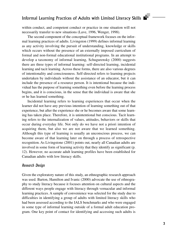within conduct, and competent conduct or practice in one situation will not necessarily transfer to new situations (Lave, 1996, Wenger, 1998).

The second component of the conceptual framework focuses on the informal learning practices of adults. Livingston (1999) defines informal learning as any activity involving the pursuit of understanding, knowledge or skills which occurs without the presence of an externally imposed curriculum of formal and non-formal educational institutional programs. In an attempt to develop a taxonomy of informal learning, Schugurensky (2000) suggests there are three types of informal learning: self-directed learning, incidental learning and tacit learning. Across these forms, there are also various degrees of intentionality and consciousness. Self-directed refers to learning projects undertaken by individuals without the assistance of an educator, but it can include the presence of a resource person. It is intentional because the individual has the purpose of learning something even before the learning process begins, and it is conscious, in the sense that the individual is aware that she or he has learned something.

Incidental learning refers to learning experiences that occur when the learner did not have any previous intention of learning something out of that experience, but after the experience she or he becomes aware that some learning has taken place. Therefore, it is unintentional but conscious. Tacit learning refers to the internalization of values, attitudes, behaviors or skills that occur during everyday life. Not only do we have not a priori intention of acquiring them, but also we are not aware that we learned something. Although this type of learning is usually an unconscious process, we can become aware of that learning later on through a process of retrospective recognition. As Livingstone (2001) points out, nearly all Canadian adults are involved in some form of learning activity that they identify as significant (p. 12). However, no accurate adult learning profiles have been established for Canadian adults with low literacy skills.

### *Research Design*

Given the exploratory nature of this study, an ethnographic research approach was used. Barton, Hamilton and Ivanic (2000) advocate the use of ethnography to study literacy because it focuses attention on cultural aspects and the different ways people engage with literacy through vernacular and informal learning practices. A sample of convenience was selected for the study due to difficulties in identifying a group of adults with limited literacy skills who had been assessed according to the IALS benchmarks and who were engaged in some type of informal learning outside of a formal adult education program. One key point of contact for identifying and accessing such adults is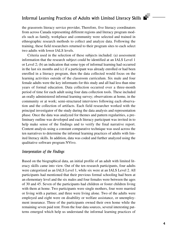the grassroots literacy service provider, Therefore, five literacy coordinators from across Canada representing different regions and literacy program models such as family, workplace and community were selected and trained in ethnographic research methods to collect and analyze data. Following the training, these field researchers returned to their program sites to each select two adults with lower IALS levels.

Criteria used in the selection of these subjects included: (a) assessment information that the research subject could be identified at an IALS Level 1 or Level 2; (b) an indication that some type of informal learning had occurred in the last six months and (c) if a participant was already enrolled or had been enrolled in a literacy program, then the data collected would focus on the learning activities outside of the classroom curriculum. Six male and four female adults were the key informants for this study and all had less than nine years of formal education. Data collection occurred over a three-month period of time for each adult using four data collection tools. These included an orally administered informal learning survey; observations at home, in the community or at work; semi-structured interviews following each observation and the collection of artifacts. Each field researcher worked with the principal investigator of the study during the data analysis and representation phase. Once the data was analyzed for themes and pattern regularities, a preliminary outline was developed and each literacy participant was invited in to help make sense of the findings and to verify the final narrative report. Content analysis using a constant comparative technique was used across the ten narratives to determine the informal learning practices of adults with limited literacy skills. In addition, data was coded and further analyzed using the qualitative software program NVivo.

### *Interpretation of the Findings*

Based on the biographical data, an initial profile of an adult with limited literacy skills came into view. Out of the ten research participants, four adults were categorized as an IALS Level 1, while six were at an IALS Level 2. All participants had mentioned that their previous formal schooling had been at an elementary level and the six males and four females were between the ages of 30 and 45. Seven of the participants had children or foster children living with them at home. Two participants were single mothers, four were married or living with a partner, and three were living alone. Two of the adults were employed and eight were on disability or welfare assistance, or unemployment insurance. Three of the participants owned their own home while the remaining seven paid rent. From the four data sources, several interesting patterns emerged which help us understand the informal learning practices of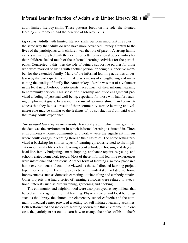adult limited literacy skills. These patterns focus on life role, the situated learning environment, and the practice of literacy skills.

Life roles. Adults with limited literacy skills perform important life roles in the same way that adults do who have more advanced literacy. Central to the lives of the participants with children was the role of parent. A strong family value system, coupled with the desire for better educational opportunities for their children, fueled much of the informal learning activities for the participants. Connected to this, was the role of being a supportive partner for those who were married or living with another person, or being a supportive member for the extended family. Many of the informal learning activities undertaken by the participants were initiated as a means of strengthening and maintaining the quality of family life. Another key life role was that of a volunteer in the local neighborhood. Participants traced much of their informal learning to community service. This sense of citizenship and civic engagement provided a feeling of personal well-being, especially for those who had far reaching employment goals. In a way, this sense of accomplishment and connectedness that they felt as a result of their community service learning and volunteer role may be similar to the feelings of job satisfaction from paid work that many adults experience.

*The situated learning environments.* A second pattern which emerged from the data was the environment in which informal learning is situated in. Three environments – home, community and work – were the significant milieus where adults engage in learning through their life roles. The home setting provided a backdrop for shorter types of learning episodes related to the implications of family life such as learning about affordable housing and daycare, head lice, family budgeting, smart shopping, appliance repairs, recycling, and school related homework topics. Most of these informal learning experiences were intentional and conscious. Another form of learning also took place in a home environment and could be viewed as the self-directed learning project type. For example, learning projects were undertaken related to home improvements such as domestic carpeting, kitchen tiling and car body repairs. Other projects that had a series of learning episodes were related to avocational interests such as bird watching, gardening and cooking.

The community and neighborhood were also portrayed as key milieus that helped set the stage for informal learning. Physical spaces and local buildings such as the library, the church, the elementary school cafeteria and the community medical center provided a setting for self-initiated learning activities. Both self-directed and incidental learning occurred in this environment. In one case, the participant set out to learn how to change the brakes of his mother's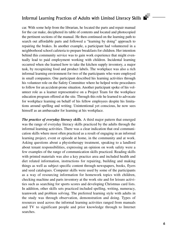car. With some help from the librarian, he located the parts and repair manual for the car make, deciphered its table of contents and located and photocopied the pertinent sections of the manual. He then continued on the learning path to search out affordable parts and followed a "learning by doing" approach to repairing the brakes. In another example, a participant had volunteered in a neighborhood school cafeteria to prepare breakfasts for children. Her intention behind this community service was to gain work experience that might eventually lead to paid employment working with children. Incidental learning occurred when she learned how to take the kitchen supply inventory, a major task, by recognizing food and product labels. The workplace was also a rich informal learning environment for two of the participants who were employed in small companies. One participant described his learning activities through his volunteer role on the Safety Committee where he helped write procedures to follow for an accident-prone situation. Another participant spoke of his volunteer role as a learner representative on a Project Team for the workplace education program offered at the site. Through this role he learned to advocate for workplace learning on behalf of his fellow employees despite his limitations around spelling and writing. Unintentional yet conscious, he now sees himself as an ambassador for learning at his workplace.

*The practice of everyday literacy skills.* A third major pattern that emerged was the range of everyday literacy skills practiced by the adults through the informal learning activities. There was a clear indication that oral communication skills where most often practiced as a result of engaging in an informal learning project, event or episode at home, in the community and at work. Asking questions about a physiotherapy treatment, speaking to a landlord about tenant responsibilities, expressing an opinion on work safety were a few examples of the range of communication skills practiced. Reading skills with printed materials was also a key practice area and included health and diet related information, instructions for repairing, building and making things as well as subject specific content through newspapers, books, flyers and seed catalogues. Computer skills were used by some of the participants as a way of resourcing information for homework topics with children, checking machine and parts inventory at the work site and for leisure activities such as searching for sports scores and developing Christmas card lists. In addition, other skills sets practiced included spelling, writing, numeracy, teamwork and problem solving. The preferred learning style with adults in the study was through observation, demonstration and doing. Types of resources used across the informal learning activities ranged from manuals and TV to significant people and prior knowledge through to Internet searches.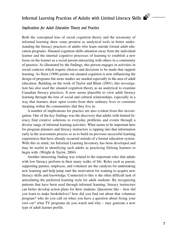### *Implications for Adult Education Theory and Practice*

Both the conceptual lens of social cognition theory and the taxonomy of informal learning show some promise as analytical tools in better understanding the literacy practices of adults who learn outside formal adult education programs. Situated cognition shifts attention away from the individual learner and the internal cognitive processes of learning to establish a new focus on the learner as a social person interacting with others in a community of practice. As illustrated by the findings, this person engages in activities in social contexts which require choices and decisions to be made that support learning. As Stein (1998) points out situated cognition is now influencing the design of programs but more studies are needed especially in the area of adult education. Building on the work of Taylor and Blunt (2001), this investigation has also used the situated cognition theory as an analytical to examine Canadian literacy practices. It now seems plausible to view adult literacy learning through the lens of social and cultural relationships, especially in a way that learners draw upon events from their ordinary lives to construct meaning within the communities that they live in.

A number of implications for practice are also evident from this investigation. One of the key findings was the discovery that adults with limited literacy find creative solutions to everyday problems and events through a diverse range of informal learning activities. What seems to be important here for program planners and literacy instructors is tapping into that information early in the assessment process so as to build on previous successful learning experiences that have already occurred outside of a formal education system. With this in mind, An Informal Learning Inventory has been developed and may be useful in identifying such adults as practicing lifelong learners to begin with. (Wright & Taylor, 2004).

Another interesting finding was related to the important roles that adults with low literacy perform in their many walks of life. Roles such as parent, supporting partner, employee, and volunteer are the catalysts for undertaking new learning and help jump start the motivation for wanting to acquire new literacy skills and knowledge. Connected to this is the often difficult task of articulating the preferred learning style for adult students. By recognizing patterns that have been used through informal learning, literacy instructors can better develop action plans for their students. Questions like – how did you learn to make bookshelves? how did you find out about that volunteer program? who do you call on when you have a question about fixing your own car? what TV programs do you watch and why – may generate a new type of adult learner profile.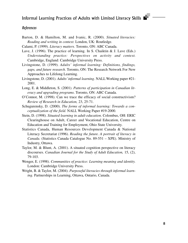### *References*

- Barton, D. & Hamilton, M. and Ivanic, R. (2000). *Situated literacies: Reading and writing in context*. London, UK: Routledge.
- Calami, P. (1999). *Literacy matters*. Toronto, ON: ABC Canada.
- Lave, J. (1996). The practice of learning. In S. Chaiktin & J. Lave (Eds.) *Understanding practice: Perspectives on activity and context.* Cambridge, England: Cambridge University Press.
- Livingstone, D. (1999). *Adults' informal learning: Definitions, findings, gaps, and future research*. Toronto, ON: The Research Network For New Approaches to Lifelong Learning.
- Livingstone, D. (2001). *Adults'informal learning*. NALLWorking paper #21- 2001.
- Long, E. & Middleton, S. (2001). *Patterns of participation in Canadian literacy and upgrading programs*. Toronto, ON: ABC Canada.
- O'Connor, M. (1998). Can we trace the efficacy of social constructivism? *Review of Research in Education,* 23, 25-71.
- Schugurensky, D. (2000). *The forms of informal learning: Towards a conceptualization of the field.* NALL Working Paper #19-2000.
- Stein, D. (1998). *Situated learning in adult education*. Colombus, OH: ERIC Clearinghouse on Adult, Career and Vocational Education, Centre on Education and Training for Employment, Ohio State University.
- Statistics Canada, Human Resources Development Canada & National Literacy Secretariat (1996). *Reading the future. A portrait of literacy in Canada.* (Statistics Canada Catalogue No. 89-551 – XPE). Ministry of Industry, Ottawa.
- Taylor, M. & Blunt, A. (2001). A situated cognition perspective on literacy discourses. *Canadian Journal for the Study of Adult Education,* 15, (2), 79-103.
- Wenger, E. (1998). *Communities of practice: Learning meaning and identity.* London: Cambridge University Press.
- Wright, B. & Taylor, M. (2004). *Purposeful literacies through informal learning.* Partnerships in Learning, Ottawa, Ontario, Canada.